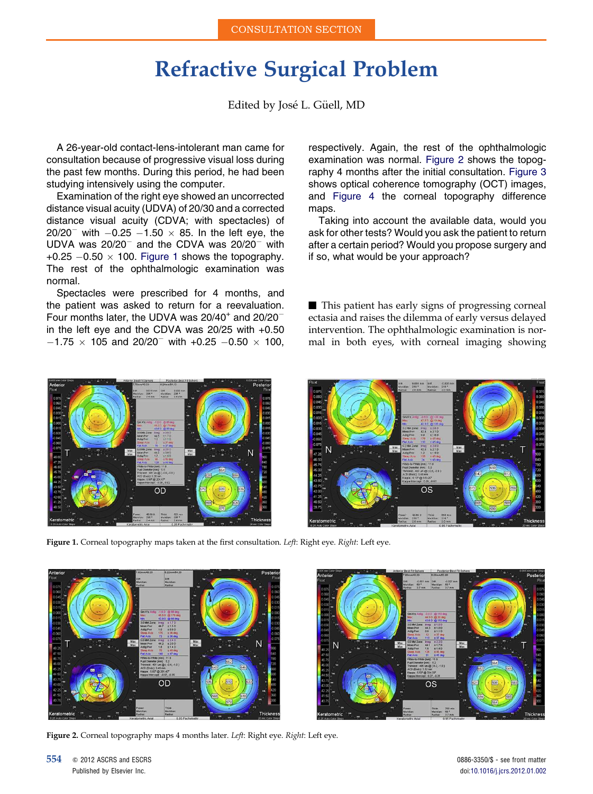## Refractive Surgical Problem

Edited by José L. Güell, MD

A 26-year-old contact-lens-intolerant man came for consultation because of progressive visual loss during the past few months. During this period, he had been studying intensively using the computer.

Examination of the right eye showed an uncorrected distance visual acuity (UDVA) of 20/30 and a corrected distance visual acuity (CDVA; with spectacles) of 20/20<sup>-</sup> with  $-0.25 -1.50 \times 85$ . In the left eye, the UDVA was  $20/20^{-}$  and the CDVA was  $20/20^{-}$  with +0.25  $-0.50 \times 100$ . Figure 1 shows the topography. The rest of the ophthalmologic examination was normal.

Spectacles were prescribed for 4 months, and the patient was asked to return for a reevaluation. Four months later, the UDVA was  $20/40^+$  and  $20/20^$ in the left eye and the CDVA was 20/25 with +0.50  $-1.75 \times 105$  and 20/20<sup>-</sup> with +0.25 -0.50  $\times$  100, respectively. Again, the rest of the ophthalmologic examination was normal. Figure 2 shows the topography 4 months after the initial consultation. [Figure 3](#page-1-0) shows optical coherence tomography (OCT) images, and [Figure 4](#page-2-0) the corneal topography difference maps.

Taking into account the available data, would you ask for other tests? Would you ask the patient to return after a certain period? Would you propose surgery and if so, what would be your approach?

 $\blacksquare$  This patient has early signs of progressing corneal ectasia and raises the dilemma of early versus delayed intervention. The ophthalmologic examination is normal in both eyes, with corneal imaging showing



OS

Figure 1. Corneal topography maps taken at the first consultation. Left: Right eye. Right: Left eye.



Figure 2. Corneal topography maps 4 months later. Left: Right eye. Right: Left eye.

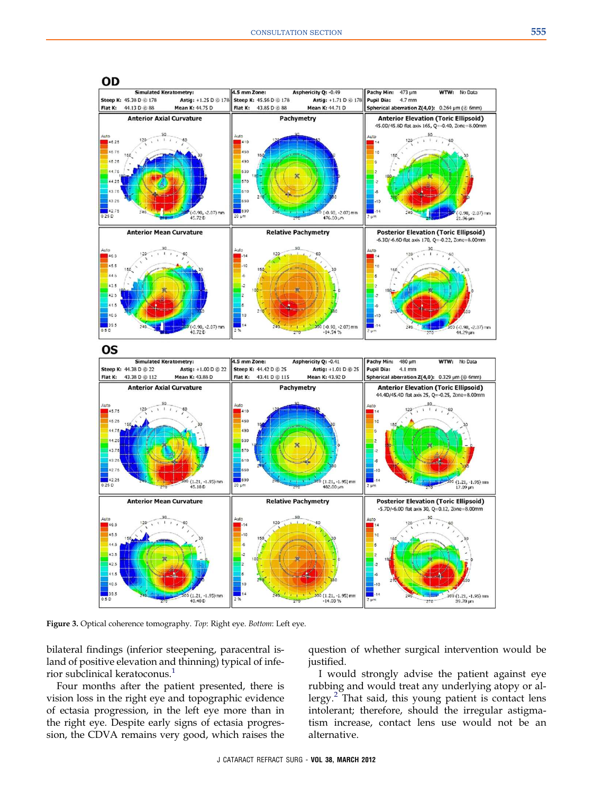<span id="page-1-0"></span>

Figure 3. Optical coherence tomography. Top: Right eye. Bottom: Left eye.

bilateral findings (inferior steepening, paracentral island of positive elevation and thinning) typical of infe-rior subclinical keratoconus.<sup>[1](#page-2-0)</sup>

Four months after the patient presented, there is vision loss in the right eye and topographic evidence of ectasia progression, in the left eye more than in the right eye. Despite early signs of ectasia progression, the CDVA remains very good, which raises the

question of whether surgical intervention would be justified.

I would strongly advise the patient against eye rubbing and would treat any underlying atopy or al-lergy.<sup>[2](#page-2-0)</sup> That said, this young patient is contact lens intolerant; therefore, should the irregular astigmatism increase, contact lens use would not be an alternative.